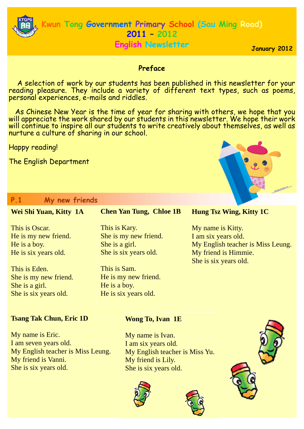

**English Newsletter**

**January 2012** 

# **Preface**

 A selection of work by our students has been published in this newsletter for your reading pleasure. They include a variety of different text types, such as poems, personal experiences, e-mails and riddles.

 As Chinese New Year is the time of year for sharing with others, we hope that you will appreciate the work shared by our students in this newsletter. We hope their work will continue to inspire all our students to write creatively about themselves, as well as nurture a culture of sharing in our school.

Happy reading!

The English Department

# **P.1 My new friends**

#### **Chen Yan Tung, Chloe 1B**  This is Kary. She is my new friend. She is a girl. She is six years old. This is Sam. He is my new friend. He is a boy. He is six years old. **Wei Shi Yuan, Kitty 1A**  This is Oscar. He is my new friend. He is a boy. He is six years old. This is Eden. She is my new friend. She is a girl. She is six years old. **Hung Tsz Wing, Kitty 1C**  My name is Kitty. I am six years old. My English teacher is Miss Leung. My friend is Himmie. She is six years old.

## **Tsang Tak Chun, Eric 1D**

My name is Eric. I am seven years old. My English teacher is Miss Leung. My friend is Vanni. She is six years old.

# **Wong To, Ivan 1E**

My name is Ivan. I am six years old. My English teacher is Miss Yu. My friend is Lily. She is six years old.







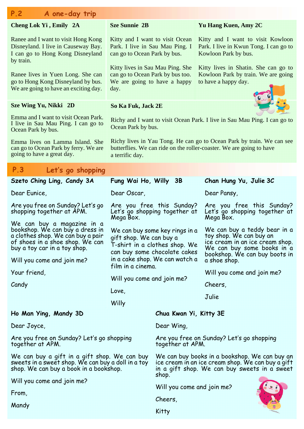| <b>Sze Sunnie 2B</b><br>Cheng Lok Yi, Emily 2A<br>Yu Hang Kuen, Amy 2C<br>Ranee and I want to visit Hong Kong<br>Kitty and I want to visit Ocean<br>Kitty and I want to visit Kowloon<br>Disneyland. I live in Causeway Bay.<br>Park. I live in Sau Mau Ping. I<br>Park. I live in Kwun Tong. I can go to<br>I can go to Hong Kong Disneyland<br>can go to Ocean Park by bus.<br>Kowloon Park by bus.<br>by train.<br>Kitty lives in Sau Mau Ping. She<br>Kitty lives in Shatin. She can go to<br>can go to Ocean Park by bus too.<br>Kowloon Park by train. We are going<br>Ranee lives in Yuen Long. She can<br>go to Hong Kong Disneyland by bus.<br>We are going to have a happy<br>to have a happy day.<br>We are going to have an exciting day.<br>day.<br><b>Sze Wing Yu, Nikki 2D</b><br>So Ka Fuk, Jack 2E<br>Emma and I want to visit Ocean Park.<br>Richy and I want to visit Ocean Park. I live in Sau Mau Ping. I can go to<br>I live in Sau Mau Ping. I can go to<br>Ocean Park by bus.<br>Ocean Park by bus.<br>Richy lives in Yau Tong. He can go to Ocean Park by train. We can see<br>Emma lives on Lamma Island. She<br>can go to Ocean Park by ferry. We are<br>butterflies. We can ride on the roller-coaster. We are going to have<br>going to have a great day.<br>a terrific day.<br>P.3<br>Let's go shopping<br>Fung Wai Ho, Willy 3B<br>Szeto Ching Ling, Candy 3A<br>Chan Hung Yu, Julie 3C<br>Dear Pansy,<br>Dear Eunice,<br>Dear Oscar,<br>Are you free on Sunday? Let's go<br>Are you free this Sunday?<br>Are you free this Sunday?<br>shopping together at APM.<br>Let's go shopping together at<br>Let's go shopping together at<br>Mega Box.<br>Mega Box.<br>We can buy a magazine in a<br>bookshop. We can buy a dress in<br>We can buy a teddy bear in a<br>We can buy some key rings in a<br>a clothes shop. We can buy a pair<br>toy shop. We can buy an<br>gift shop. We can buy a<br>of shoes in a shoe shop. We can<br>ice cream in an ice cream shop.<br>T-shirt in a clothes shop. We<br>We can buy some books in a<br>buy a toy car in a toy shop.<br>can buy some chocolate cakes<br>bookshop. We can buy boots in<br>in a cake shop. We can watch a<br>Will you come and join me?<br>a shoe shop.<br>film in a cinema.<br>Your friend,<br>Will you come and join me?<br>Will you come and join me?<br>Candy<br>Cheers,<br>Love,<br>Julie<br>Willy<br>Ho Man Ying, Mandy 3D<br>Chua Kwan Yi, Kitty 3E<br>Dear Joyce,<br>Dear Wing,<br>Are you free on Sunday? Let's go shopping<br>Are you free on Sunday? Let's go shopping<br>together at APM.<br>together at APM.<br>We can buy a gift in a gift shop. We can buy<br>We can buy books in a bookshop. We can buy an<br>ice cream in an ice cream shop. We can buy a gift<br>sweets in a sweet shop. We can buy a doll in a toy<br>shop. We can buy a book in a bookshop.<br>in a gift shop. We can buy sweets in a sweet<br>shop.<br>Will you come and join me?<br>Will you come and join me?<br>From,<br>Cheers,<br>Mandy<br>Kitty | P.2<br>A one-day trip |  |  |  |
|------------------------------------------------------------------------------------------------------------------------------------------------------------------------------------------------------------------------------------------------------------------------------------------------------------------------------------------------------------------------------------------------------------------------------------------------------------------------------------------------------------------------------------------------------------------------------------------------------------------------------------------------------------------------------------------------------------------------------------------------------------------------------------------------------------------------------------------------------------------------------------------------------------------------------------------------------------------------------------------------------------------------------------------------------------------------------------------------------------------------------------------------------------------------------------------------------------------------------------------------------------------------------------------------------------------------------------------------------------------------------------------------------------------------------------------------------------------------------------------------------------------------------------------------------------------------------------------------------------------------------------------------------------------------------------------------------------------------------------------------------------------------------------------------------------------------------------------------------------------------------------------------------------------------------------------------------------------------------------------------------------------------------------------------------------------------------------------------------------------------------------------------------------------------------------------------------------------------------------------------------------------------------------------------------------------------------------------------------------------------------------------------------------------------------------------------------------------------------------------------------------------------------------------------------------------------------------------------------------------------------------------------------------------------------------------------------------------------------------------------------------------------------------------------------------------------------------------------------------------------------------------------------------------------------------------------------------------------------------------------------------------------------------|-----------------------|--|--|--|
|                                                                                                                                                                                                                                                                                                                                                                                                                                                                                                                                                                                                                                                                                                                                                                                                                                                                                                                                                                                                                                                                                                                                                                                                                                                                                                                                                                                                                                                                                                                                                                                                                                                                                                                                                                                                                                                                                                                                                                                                                                                                                                                                                                                                                                                                                                                                                                                                                                                                                                                                                                                                                                                                                                                                                                                                                                                                                                                                                                                                                                    |                       |  |  |  |
|                                                                                                                                                                                                                                                                                                                                                                                                                                                                                                                                                                                                                                                                                                                                                                                                                                                                                                                                                                                                                                                                                                                                                                                                                                                                                                                                                                                                                                                                                                                                                                                                                                                                                                                                                                                                                                                                                                                                                                                                                                                                                                                                                                                                                                                                                                                                                                                                                                                                                                                                                                                                                                                                                                                                                                                                                                                                                                                                                                                                                                    |                       |  |  |  |
|                                                                                                                                                                                                                                                                                                                                                                                                                                                                                                                                                                                                                                                                                                                                                                                                                                                                                                                                                                                                                                                                                                                                                                                                                                                                                                                                                                                                                                                                                                                                                                                                                                                                                                                                                                                                                                                                                                                                                                                                                                                                                                                                                                                                                                                                                                                                                                                                                                                                                                                                                                                                                                                                                                                                                                                                                                                                                                                                                                                                                                    |                       |  |  |  |
|                                                                                                                                                                                                                                                                                                                                                                                                                                                                                                                                                                                                                                                                                                                                                                                                                                                                                                                                                                                                                                                                                                                                                                                                                                                                                                                                                                                                                                                                                                                                                                                                                                                                                                                                                                                                                                                                                                                                                                                                                                                                                                                                                                                                                                                                                                                                                                                                                                                                                                                                                                                                                                                                                                                                                                                                                                                                                                                                                                                                                                    |                       |  |  |  |
|                                                                                                                                                                                                                                                                                                                                                                                                                                                                                                                                                                                                                                                                                                                                                                                                                                                                                                                                                                                                                                                                                                                                                                                                                                                                                                                                                                                                                                                                                                                                                                                                                                                                                                                                                                                                                                                                                                                                                                                                                                                                                                                                                                                                                                                                                                                                                                                                                                                                                                                                                                                                                                                                                                                                                                                                                                                                                                                                                                                                                                    |                       |  |  |  |
|                                                                                                                                                                                                                                                                                                                                                                                                                                                                                                                                                                                                                                                                                                                                                                                                                                                                                                                                                                                                                                                                                                                                                                                                                                                                                                                                                                                                                                                                                                                                                                                                                                                                                                                                                                                                                                                                                                                                                                                                                                                                                                                                                                                                                                                                                                                                                                                                                                                                                                                                                                                                                                                                                                                                                                                                                                                                                                                                                                                                                                    |                       |  |  |  |
|                                                                                                                                                                                                                                                                                                                                                                                                                                                                                                                                                                                                                                                                                                                                                                                                                                                                                                                                                                                                                                                                                                                                                                                                                                                                                                                                                                                                                                                                                                                                                                                                                                                                                                                                                                                                                                                                                                                                                                                                                                                                                                                                                                                                                                                                                                                                                                                                                                                                                                                                                                                                                                                                                                                                                                                                                                                                                                                                                                                                                                    |                       |  |  |  |
|                                                                                                                                                                                                                                                                                                                                                                                                                                                                                                                                                                                                                                                                                                                                                                                                                                                                                                                                                                                                                                                                                                                                                                                                                                                                                                                                                                                                                                                                                                                                                                                                                                                                                                                                                                                                                                                                                                                                                                                                                                                                                                                                                                                                                                                                                                                                                                                                                                                                                                                                                                                                                                                                                                                                                                                                                                                                                                                                                                                                                                    |                       |  |  |  |
|                                                                                                                                                                                                                                                                                                                                                                                                                                                                                                                                                                                                                                                                                                                                                                                                                                                                                                                                                                                                                                                                                                                                                                                                                                                                                                                                                                                                                                                                                                                                                                                                                                                                                                                                                                                                                                                                                                                                                                                                                                                                                                                                                                                                                                                                                                                                                                                                                                                                                                                                                                                                                                                                                                                                                                                                                                                                                                                                                                                                                                    |                       |  |  |  |
|                                                                                                                                                                                                                                                                                                                                                                                                                                                                                                                                                                                                                                                                                                                                                                                                                                                                                                                                                                                                                                                                                                                                                                                                                                                                                                                                                                                                                                                                                                                                                                                                                                                                                                                                                                                                                                                                                                                                                                                                                                                                                                                                                                                                                                                                                                                                                                                                                                                                                                                                                                                                                                                                                                                                                                                                                                                                                                                                                                                                                                    |                       |  |  |  |
|                                                                                                                                                                                                                                                                                                                                                                                                                                                                                                                                                                                                                                                                                                                                                                                                                                                                                                                                                                                                                                                                                                                                                                                                                                                                                                                                                                                                                                                                                                                                                                                                                                                                                                                                                                                                                                                                                                                                                                                                                                                                                                                                                                                                                                                                                                                                                                                                                                                                                                                                                                                                                                                                                                                                                                                                                                                                                                                                                                                                                                    |                       |  |  |  |
|                                                                                                                                                                                                                                                                                                                                                                                                                                                                                                                                                                                                                                                                                                                                                                                                                                                                                                                                                                                                                                                                                                                                                                                                                                                                                                                                                                                                                                                                                                                                                                                                                                                                                                                                                                                                                                                                                                                                                                                                                                                                                                                                                                                                                                                                                                                                                                                                                                                                                                                                                                                                                                                                                                                                                                                                                                                                                                                                                                                                                                    |                       |  |  |  |
|                                                                                                                                                                                                                                                                                                                                                                                                                                                                                                                                                                                                                                                                                                                                                                                                                                                                                                                                                                                                                                                                                                                                                                                                                                                                                                                                                                                                                                                                                                                                                                                                                                                                                                                                                                                                                                                                                                                                                                                                                                                                                                                                                                                                                                                                                                                                                                                                                                                                                                                                                                                                                                                                                                                                                                                                                                                                                                                                                                                                                                    |                       |  |  |  |
|                                                                                                                                                                                                                                                                                                                                                                                                                                                                                                                                                                                                                                                                                                                                                                                                                                                                                                                                                                                                                                                                                                                                                                                                                                                                                                                                                                                                                                                                                                                                                                                                                                                                                                                                                                                                                                                                                                                                                                                                                                                                                                                                                                                                                                                                                                                                                                                                                                                                                                                                                                                                                                                                                                                                                                                                                                                                                                                                                                                                                                    |                       |  |  |  |
|                                                                                                                                                                                                                                                                                                                                                                                                                                                                                                                                                                                                                                                                                                                                                                                                                                                                                                                                                                                                                                                                                                                                                                                                                                                                                                                                                                                                                                                                                                                                                                                                                                                                                                                                                                                                                                                                                                                                                                                                                                                                                                                                                                                                                                                                                                                                                                                                                                                                                                                                                                                                                                                                                                                                                                                                                                                                                                                                                                                                                                    |                       |  |  |  |
|                                                                                                                                                                                                                                                                                                                                                                                                                                                                                                                                                                                                                                                                                                                                                                                                                                                                                                                                                                                                                                                                                                                                                                                                                                                                                                                                                                                                                                                                                                                                                                                                                                                                                                                                                                                                                                                                                                                                                                                                                                                                                                                                                                                                                                                                                                                                                                                                                                                                                                                                                                                                                                                                                                                                                                                                                                                                                                                                                                                                                                    |                       |  |  |  |
|                                                                                                                                                                                                                                                                                                                                                                                                                                                                                                                                                                                                                                                                                                                                                                                                                                                                                                                                                                                                                                                                                                                                                                                                                                                                                                                                                                                                                                                                                                                                                                                                                                                                                                                                                                                                                                                                                                                                                                                                                                                                                                                                                                                                                                                                                                                                                                                                                                                                                                                                                                                                                                                                                                                                                                                                                                                                                                                                                                                                                                    |                       |  |  |  |
|                                                                                                                                                                                                                                                                                                                                                                                                                                                                                                                                                                                                                                                                                                                                                                                                                                                                                                                                                                                                                                                                                                                                                                                                                                                                                                                                                                                                                                                                                                                                                                                                                                                                                                                                                                                                                                                                                                                                                                                                                                                                                                                                                                                                                                                                                                                                                                                                                                                                                                                                                                                                                                                                                                                                                                                                                                                                                                                                                                                                                                    |                       |  |  |  |
|                                                                                                                                                                                                                                                                                                                                                                                                                                                                                                                                                                                                                                                                                                                                                                                                                                                                                                                                                                                                                                                                                                                                                                                                                                                                                                                                                                                                                                                                                                                                                                                                                                                                                                                                                                                                                                                                                                                                                                                                                                                                                                                                                                                                                                                                                                                                                                                                                                                                                                                                                                                                                                                                                                                                                                                                                                                                                                                                                                                                                                    |                       |  |  |  |
|                                                                                                                                                                                                                                                                                                                                                                                                                                                                                                                                                                                                                                                                                                                                                                                                                                                                                                                                                                                                                                                                                                                                                                                                                                                                                                                                                                                                                                                                                                                                                                                                                                                                                                                                                                                                                                                                                                                                                                                                                                                                                                                                                                                                                                                                                                                                                                                                                                                                                                                                                                                                                                                                                                                                                                                                                                                                                                                                                                                                                                    |                       |  |  |  |
|                                                                                                                                                                                                                                                                                                                                                                                                                                                                                                                                                                                                                                                                                                                                                                                                                                                                                                                                                                                                                                                                                                                                                                                                                                                                                                                                                                                                                                                                                                                                                                                                                                                                                                                                                                                                                                                                                                                                                                                                                                                                                                                                                                                                                                                                                                                                                                                                                                                                                                                                                                                                                                                                                                                                                                                                                                                                                                                                                                                                                                    |                       |  |  |  |
|                                                                                                                                                                                                                                                                                                                                                                                                                                                                                                                                                                                                                                                                                                                                                                                                                                                                                                                                                                                                                                                                                                                                                                                                                                                                                                                                                                                                                                                                                                                                                                                                                                                                                                                                                                                                                                                                                                                                                                                                                                                                                                                                                                                                                                                                                                                                                                                                                                                                                                                                                                                                                                                                                                                                                                                                                                                                                                                                                                                                                                    |                       |  |  |  |
|                                                                                                                                                                                                                                                                                                                                                                                                                                                                                                                                                                                                                                                                                                                                                                                                                                                                                                                                                                                                                                                                                                                                                                                                                                                                                                                                                                                                                                                                                                                                                                                                                                                                                                                                                                                                                                                                                                                                                                                                                                                                                                                                                                                                                                                                                                                                                                                                                                                                                                                                                                                                                                                                                                                                                                                                                                                                                                                                                                                                                                    |                       |  |  |  |
|                                                                                                                                                                                                                                                                                                                                                                                                                                                                                                                                                                                                                                                                                                                                                                                                                                                                                                                                                                                                                                                                                                                                                                                                                                                                                                                                                                                                                                                                                                                                                                                                                                                                                                                                                                                                                                                                                                                                                                                                                                                                                                                                                                                                                                                                                                                                                                                                                                                                                                                                                                                                                                                                                                                                                                                                                                                                                                                                                                                                                                    |                       |  |  |  |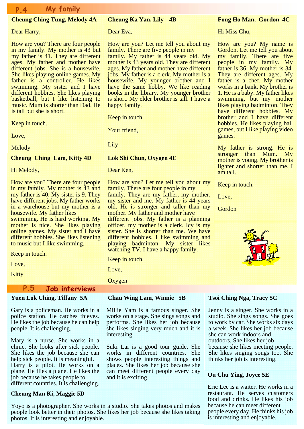# **P.4 My family**

### **Cheung Ching Tung, Melody 4A**

Dear Harry,

How are you? There are four people in my family. My mother is 43 but my father is 41. They are different ages. My father and mother have different jobs. She is a housewife. She likes playing online games. My father is a controller. He likes swimming. My sister and I have different hobbies. She likes playing basketball, but I like listening to music. Mum is shorter than Dad. He is tall but she is short.

Keep in touch.

Love,

Melody

#### **Cheung Ching Lam, Kitty 4D**

Hi Melody,

How are you? There are four people in my family. My mother is  $\overline{43}$  and my father is 40. My sister is 9. They have different jobs. My father works in a warehouse but my mother is a housewife. My father likes swimming. He is hard working. My mother is nice. She likes playing online games. My sister and I have different hobbies. She likes listening to music but I like swimming.

Keep in touch.

Love,

Kitty

### **P.5 Job interviews**

### **Yuen Lok Ching, Tiffany 5A**

Gary is a policeman. He works in a police station. He catches thieves. He likes the job because he can help people. It is challenging.

Mary is a nurse. She works in a clinic. She looks after sick people. She likes the job because she can help sick people. It is meaningful. Harry is a pilot. He works on a plane. He flies a plane. He likes the job because he takes people to different countries. It is challenging.

#### **Cheung Man Ki, Maggie 5D**

Yoyo is a photographer. She works in a studio. She takes photos and makes people look better in their photos. She likes her job because she likes taking photos. It is interesting and enjoyable.

#### **Cheung Ka Yan, Lily 4B**

Dear Eva,

How are you? Let me tell you about my family. There are five people in my

family. My father is 44 years old. My mother is 43 years old. They are different ages. My father and mother have different jobs. My father is a clerk. My mother is a housewife. My younger brother and I have the same hobby. We like reading books in the library. My younger brother is short. My elder brother is tall. I have a happy family.

Keep in touch.

Your friend,

Lily

#### **Lok Shi Chun, Oxygen 4E**

Dear Ken,

How are you? Let me tell you about my family. There are four people in my family. They are my father, my mother, my sister and me. My father is 44 years old. He is stronger and taller than my mother. My father and mother have different jobs. My father is a planning officer, my mother is a clerk. Icy is my sister. She is shorter than me. We have different hobbies. I like swimming and playing badminton. My sister likes watching TV. I have a happy family.

Keep in touch.

Love,

**Oxygen** 

### **Chau Wing Lam, Winnie 5B**

Millie Yam is a famous singer. She works on a stage. She sings songs and performs. She likes her job because she likes singing very much and it is interesting.

Suki Lai is a good tour guide. She works in different countries. She shows people interesting things and places. She likes her job because she can meet different people every day and it is exciting.

#### **Fong Ho Man, Gordon 4C**

Hi Miss Chu,

How are you? My name is Gordon. Let me tell you about my family. There are five people in my family. My father is 36. My mother is 34. They are different ages. My father is a chef. My mother works in a bank. My brother is 1. He is a baby. My father likes swimming, but my mother likes playing badminton. They have different hobbies. My brother and I have different hobbies. He likes playing ball games, but I like playing video games.

My father is strong. He is stronger than Mum. My mother is young. My brother is lighter and shorter than me. I am tall.

Keep in touch.

Love,

Gordon



### **Tsoi Ching Nga, Tracy 5C**

Jenny is a singer. She works in a studio. She sings songs. She goes to work by car. She works six days a week. She likes her job because she can work indoors and outdoors. She likes her job because she likes meeting people. She likes singing songs too. She thinks her job is interesting.

#### **Ou Chu Ying, Joyce 5E**

Eric Lee is a waiter. He works in a restaurant. He serves customers food and drinks. He likes his job because he can meet different people every day. He thinks his job is interesting and enjoyable.